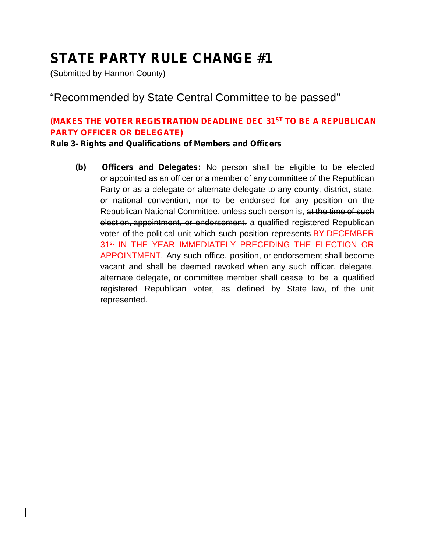(Submitted by Harmon County)

### "Recommended by State Central Committee to be passed"

#### **(MAKES THE VOTER REGISTRATION DEADLINE DEC 31ST TO BE A REPUBLICAN PARTY OFFICER OR DELEGATE)**

**Rule 3- Rights and Qualifications of Members and Officers**

**(b) Officers and Delegates:** No person shall be eligible to be elected or appointed as an officer or a member of any committee of the Republican Party or as a delegate or alternate delegate to any county, district, state, or national convention, nor to be endorsed for any position on the Republican National Committee, unless such person is, at the time of such election, appointment, or endorsement, a qualified registered Republican voter of the political unit which such position represents BY DECEMBER 31<sup>st</sup> IN THE YEAR IMMEDIATELY PRECEDING THE ELECTION OR APPOINTMENT. Any such office, position, or endorsement shall become vacant and shall be deemed revoked when any such officer, delegate, alternate delegate, or committee member shall cease to be a qualified registered Republican voter, as defined by State law, of the unit represented.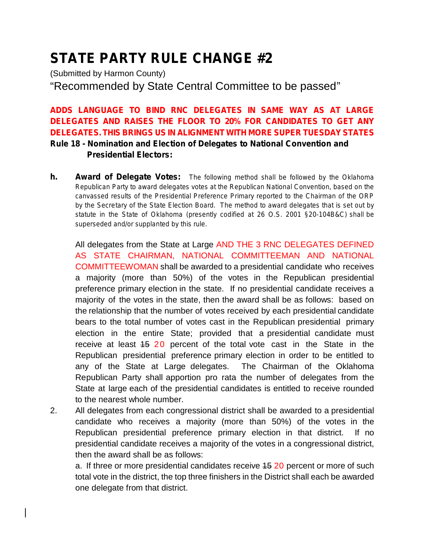(Submitted by Harmon County) "Recommended by State Central Committee to be passed"

**ADDS LANGUAGE TO BIND RNC DELEGATES IN SAME WAY AS AT LARGE DELEGATES AND RAISES THE FLOOR TO 20% FOR CANDIDATES TO GET ANY DELEGATES. THIS BRINGS US IN ALIGNMENT WITH MORE SUPER TUESDAY STATES Rule 18 - Nomination and Election of Delegates to National Convention and Presidential Electors:**

**h. Award of Delegate Votes:** *The following method shall be followed by the Oklahoma Republican Party to award delegates votes at the Republican National Convention, based on the canvassed results of the Presidential Preference Primary reported to the Chairman of the ORP by the Secretary of the State Election Board. The method to award delegates that is set out by statute in the State of Oklahoma (presently codified at 26 O.S. 2001 §20-104B&C) shall be superseded and/or supplanted by this rule.*

All delegates from the State at Large AND THE 3 RNC DELEGATES DEFINED AS STATE CHAIRMAN, NATIONAL COMMITTEEMAN AND NATIONAL COMMITTEEWOMAN shall be awarded to a presidential candidate who receives a majority (more than 50%) of the votes in the Republican presidential preference primary election in the state. If no presidential candidate receives a majority of the votes in the state, then the award shall be as follows: based on the relationship that the number of votes received by each presidential candidate bears to the total number of votes cast in the Republican presidential primary election in the entire State; provided that a presidential candidate must receive at least 15 20 percent of the total vote cast in the State in the Republican presidential preference primary election in order to be entitled to any of the State at Large delegates. The Chairman of the Oklahoma Republican Party shall apportion pro rata the number of delegates from the State at large each of the presidential candidates is entitled to receive rounded to the nearest whole number.

2. All delegates from each congressional district shall be awarded to a presidential candidate who receives a majority (more than 50%) of the votes in the Republican presidential preference primary election in that district. If no presidential candidate receives a majority of the votes in a congressional district, then the award shall be as follows:

a. If three or more presidential candidates receive 15 20 percent or more of such total vote in the district, the top three finishers in the District shall each be awarded one delegate from that district.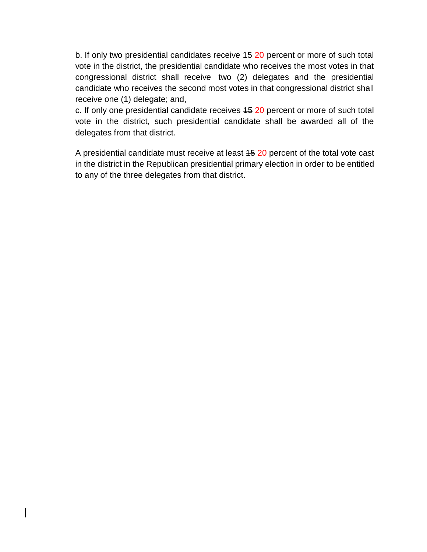b. If only two presidential candidates receive 45 20 percent or more of such total vote in the district, the presidential candidate who receives the most votes in that congressional district shall receive two (2) delegates and the presidential candidate who receives the second most votes in that congressional district shall receive one (1) delegate; and,

c. If only one presidential candidate receives 15 20 percent or more of such total vote in the district, such presidential candidate shall be awarded all of the delegates from that district.

A presidential candidate must receive at least 15 20 percent of the total vote cast in the district in the Republican presidential primary election in order to be entitled to any of the three delegates from that district.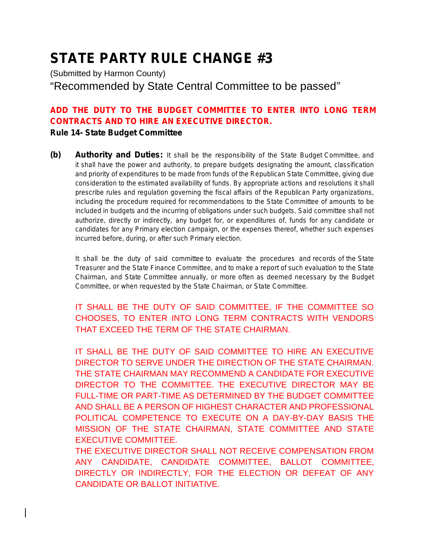(Submitted by Harmon County) "Recommended by State Central Committee to be passed"

### **ADD THE DUTY TO THE BUDGET COMMITTEE TO ENTER INTO LONG TERM CONTRACTS AND TO HIRE AN EXECUTIVE DIRECTOR.**

#### **Rule 14- State Budget Committee**

**(b) Authority and Duties:** *It shall be the responsibility of the State Budget Committee, and it shall have the power and authority, to prepare budgets designating the amount, classification and priority of expenditures to be made from funds of the Republican State Committee, giving due consideration to the estimated availability of funds. By appropriate actions and resolutions it shall prescribe rules and regulation governing the fiscal affairs of the Republican Party organizations, including the procedure required for recommendations to the State Committee of amounts to be included in budgets and the incurring of obligations under such budgets. Said committee shall not authorize, directly or indirectly, any budget for, or expenditures of, funds for any candidate or candidates for any Primary election campaign, or the expenses thereof, whether such expenses incurred before, during, or after such Primary election.*

*It shall be the duty of said committee to evaluate the procedures and records of the State Treasurer and the State Finance Committee, and to make a report of such evaluation to the State Chairman, and State Committee annually, or more often as deemed necessary by the Budget Committee, or when requested by the State Chairman, or State Committee.*

IT SHALL BE THE DUTY OF SAID COMMITTEE, IF THE COMMITTEE SO CHOOSES, TO ENTER INTO LONG TERM CONTRACTS WITH VENDORS THAT EXCEED THE TERM OF THE STATE CHAIRMAN.

IT SHALL BE THE DUTY OF SAID COMMITTEE TO HIRE AN EXECUTIVE DIRECTOR TO SERVE UNDER THE DIRECTION OF THE STATE CHAIRMAN. THE STATE CHAIRMAN MAY RECOMMEND A CANDIDATE FOR EXECUTIVE DIRECTOR TO THE COMMITTEE. THE EXECUTIVE DIRECTOR MAY BE FULL-TIME OR PART-TIME AS DETERMINED BY THE BUDGET COMMITTEE AND SHALL BE A PERSON OF HIGHEST CHARACTER AND PROFESSIONAL POLITICAL COMPETENCE TO EXECUTE ON A DAY-BY-DAY BASIS THE MISSION OF THE STATE CHAIRMAN, STATE COMMITTEE AND STATE EXECUTIVE COMMITTEE.

THE EXECUTIVE DIRECTOR SHALL NOT RECEIVE COMPENSATION FROM ANY CANDIDATE, CANDIDATE COMMITTEE, BALLOT COMMITTEE, DIRECTLY OR INDIRECTLY, FOR THE ELECTION OR DEFEAT OF ANY CANDIDATE OR BALLOT INITIATIVE.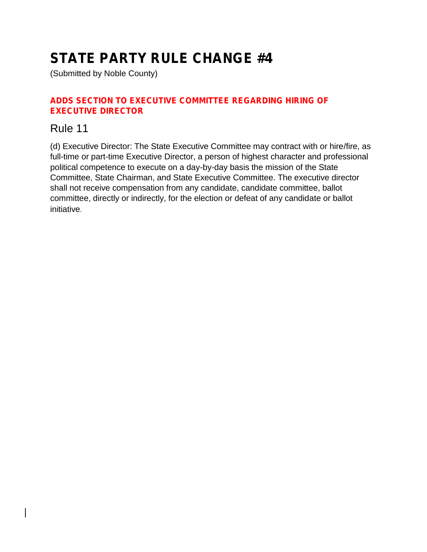(Submitted by Noble County)

#### **ADDS SECTION TO EXECUTIVE COMMITTEE REGARDING HIRING OF EXECUTIVE DIRECTOR**

### Rule 11

(d) Executive Director: The State Executive Committee may contract with or hire/fire, as full-time or part-time Executive Director, a person of highest character and professional political competence to execute on a day-by-day basis the mission of the State Committee, State Chairman, and State Executive Committee. The executive director shall not receive compensation from any candidate, candidate committee, ballot committee, directly or indirectly, for the election or defeat of any candidate or ballot initiative.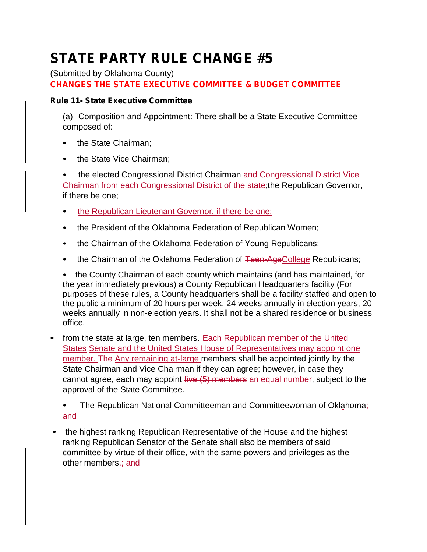(Submitted by Oklahoma County)

**CHANGES THE STATE EXECUTIVE COMMITTEE & BUDGET COMMITTEE**

#### **Rule 11- State Executive Committee**

(a) Composition and Appointment: There shall be a State Executive Committee composed of:

- the State Chairman:
- the State Vice Chairman;

• the elected Congressional District Chairman and Congressional District Vice Chairman from each Congressional District of the state;the Republican Governor, if there be one;

- the Republican Lieutenant Governor, if there be one;
- the President of the Oklahoma Federation of Republican Women;
- the Chairman of the Oklahoma Federation of Young Republicans;
- the Chairman of the Oklahoma Federation of Teen-AgeCollege Republicans;

• the County Chairman of each county which maintains (and has maintained, for the year immediately previous) a County Republican Headquarters facility (For purposes of these rules, a County headquarters shall be a facility staffed and open to the public a minimum of 20 hours per week, 24 weeks annually in election years, 20 weeks annually in non-election years. It shall not be a shared residence or business office.

• from the state at large, ten members. Each Republican member of the United States Senate and the United States House of Representatives may appoint one member. The Any remaining at-large members shall be appointed jointly by the State Chairman and Vice Chairman if they can agree; however, in case they cannot agree, each may appoint five (5) members an equal number, subject to the approval of the State Committee.

• The Republican National Committeeman and Committeewoman of Oklahoma; and

• the highest ranking Republican Representative of the House and the highest ranking Republican Senator of the Senate shall also be members of said committee by virtue of their office, with the same powers and privileges as the other members.; and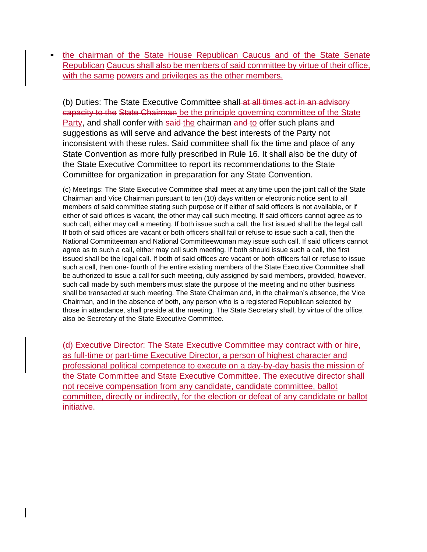• the chairman of the State House Republican Caucus and of the State Senate Republican Caucus shall also be members of said committee by virtue of their office, with the same powers and privileges as the other members.

(b) Duties: The State Executive Committee shall at all times act in an advisory capacity to the State Chairman be the principle governing committee of the State Party, and shall confer with said-the chairman and to offer such plans and suggestions as will serve and advance the best interests of the Party not inconsistent with these rules. Said committee shall fix the time and place of any State Convention as more fully prescribed in Rule 16. It shall also be the duty of the State Executive Committee to report its recommendations to the State Committee for organization in preparation for any State Convention.

(c) Meetings: The State Executive Committee shall meet at any time upon the joint call of the State Chairman and Vice Chairman pursuant to ten (10) days written or electronic notice sent to all members of said committee stating such purpose or if either of said officers is not available, or if either of said offices is vacant, the other may call such meeting. If said officers cannot agree as to such call, either may call a meeting. If both issue such a call, the first issued shall be the legal call. If both of said offices are vacant or both officers shall fail or refuse to issue such a call, then the National Committeeman and National Committeewoman may issue such call. If said officers cannot agree as to such a call, either may call such meeting. If both should issue such a call, the first issued shall be the legal call. If both of said offices are vacant or both officers fail or refuse to issue such a call, then one- fourth of the entire existing members of the State Executive Committee shall be authorized to issue a call for such meeting, duly assigned by said members, provided, however, such call made by such members must state the purpose of the meeting and no other business shall be transacted at such meeting. The State Chairman and, in the chairman's absence, the Vice Chairman, and in the absence of both, any person who is a registered Republican selected by those in attendance, shall preside at the meeting. The State Secretary shall, by virtue of the office, also be Secretary of the State Executive Committee.

(d) Executive Director: The State Executive Committee may contract with or hire, as full-time or part-time Executive Director, a person of highest character and professional political competence to execute on a day-by-day basis the mission of the State Committee and State Executive Committee. The executive director shall not receive compensation from any candidate, candidate committee, ballot committee, directly or indirectly, for the election or defeat of any candidate or ballot initiative.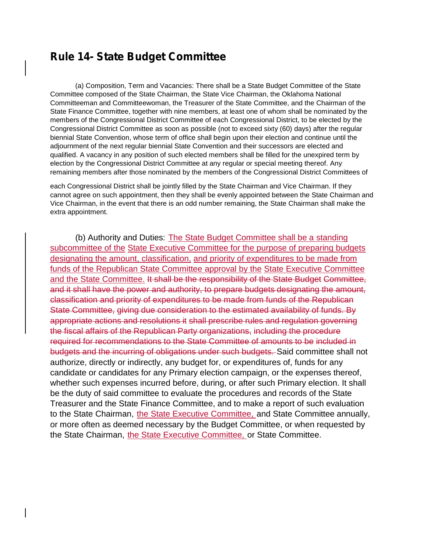### **Rule 14- State Budget Committee**

(a) Composition, Term and Vacancies: There shall be a State Budget Committee of the State Committee composed of the State Chairman, the State Vice Chairman, the Oklahoma National Committeeman and Committeewoman, the Treasurer of the State Committee, and the Chairman of the State Finance Committee, together with nine members, at least one of whom shall be nominated by the members of the Congressional District Committee of each Congressional District, to be elected by the Congressional District Committee as soon as possible (not to exceed sixty (60) days) after the regular biennial State Convention, whose term of office shall begin upon their election and continue until the adjournment of the next regular biennial State Convention and their successors are elected and qualified. A vacancy in any position of such elected members shall be filled for the unexpired term by election by the Congressional District Committee at any regular or special meeting thereof. Any remaining members after those nominated by the members of the Congressional District Committees of

each Congressional District shall be jointly filled by the State Chairman and Vice Chairman. If they cannot agree on such appointment, then they shall be evenly appointed between the State Chairman and Vice Chairman, in the event that there is an odd number remaining, the State Chairman shall make the extra appointment.

(b) Authority and Duties: The State Budget Committee shall be a standing subcommittee of the State Executive Committee for the purpose of preparing budgets designating the amount, classification, and priority of expenditures to be made from funds of the Republican State Committee approval by the State Executive Committee and the State Committee. It shall be the responsibility of the State Budget Committee, and it shall have the power and authority, to prepare budgets designating the amount, classification and priority of expenditures to be made from funds of the Republican State Committee, giving due consideration to the estimated availability of funds. By appropriate actions and resolutions it shall prescribe rules and regulation governing the fiscal affairs of the Republican Party organizations, including the procedure required for recommendations to the State Committee of amounts to be included in budgets and the incurring of obligations under such budgets. Said committee shall not authorize, directly or indirectly, any budget for, or expenditures of, funds for any candidate or candidates for any Primary election campaign, or the expenses thereof, whether such expenses incurred before, during, or after such Primary election. It shall be the duty of said committee to evaluate the procedures and records of the State Treasurer and the State Finance Committee, and to make a report of such evaluation to the State Chairman, the State Executive Committee, and State Committee annually, or more often as deemed necessary by the Budget Committee, or when requested by the State Chairman, the State Executive Committee, or State Committee.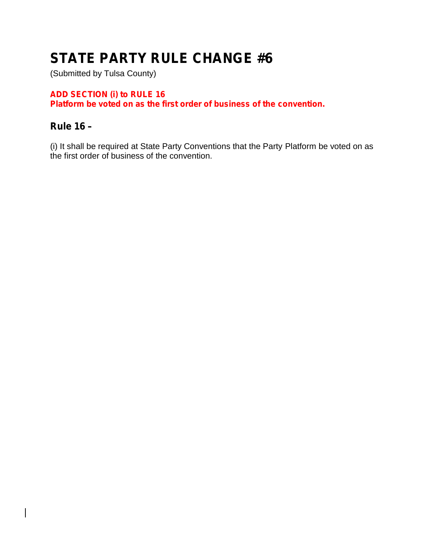(Submitted by Tulsa County)

### **ADD SECTION (i) to RULE 16**

**Platform be voted on as the first order of business of the convention.**

### **Rule 16 –**

 $\overline{\phantom{a}}$ 

(i) It shall be required at State Party Conventions that the Party Platform be voted on as the first order of business of the convention.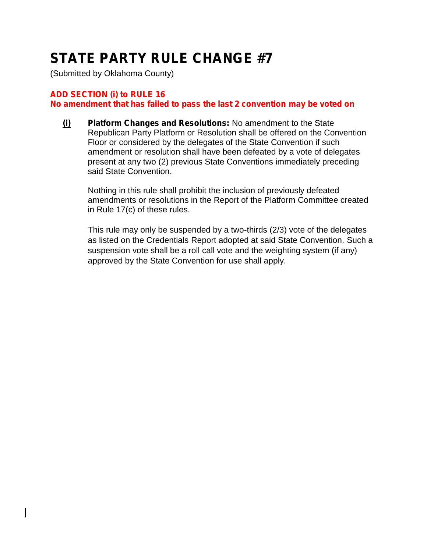(Submitted by Oklahoma County)

#### **ADD SECTION (i) to RULE 16**

**No amendment that has failed to pass the last 2 convention may be voted on**

**(i) Platform Changes and Resolutions:** No amendment to the State Republican Party Platform or Resolution shall be offered on the Convention Floor or considered by the delegates of the State Convention if such amendment or resolution shall have been defeated by a vote of delegates present at any two (2) previous State Conventions immediately preceding said State Convention.

Nothing in this rule shall prohibit the inclusion of previously defeated amendments or resolutions in the Report of the Platform Committee created in Rule 17(c) of these rules.

This rule may only be suspended by a two-thirds (2/3) vote of the delegates as listed on the Credentials Report adopted at said State Convention. Such a suspension vote shall be a roll call vote and the weighting system (if any) approved by the State Convention for use shall apply.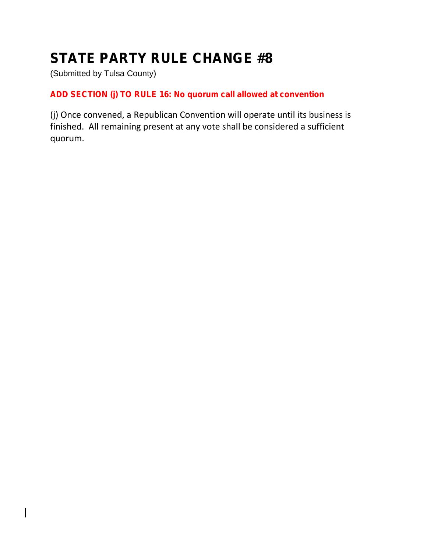(Submitted by Tulsa County)

### **ADD SECTION (j) TO RULE 16: No quorum call allowed at convention**

(j) Once convened, a Republican Convention will operate until its business is finished. All remaining present at any vote shall be considered a sufficient quorum.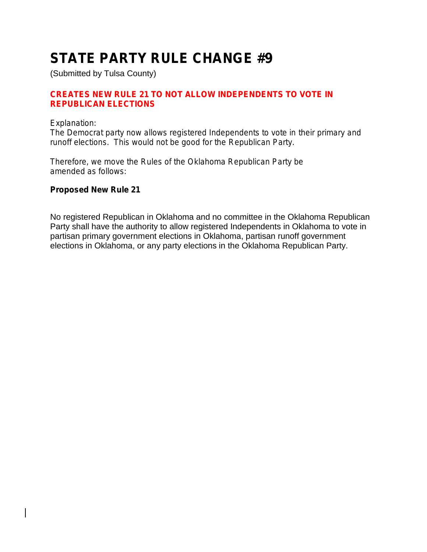(Submitted by Tulsa County)

#### **CREATES NEW RULE 21 TO NOT ALLOW INDEPENDENTS TO VOTE IN REPUBLICAN ELECTIONS**

#### *Explanation:*

*The Democrat party now allows registered Independents to vote in their primary and runoff elections. This would not be good for the Republican Party.*

*Therefore, we move the Rules of the Oklahoma Republican Party be amended as follows:*

#### **Proposed New Rule 21**

No registered Republican in Oklahoma and no committee in the Oklahoma Republican Party shall have the authority to allow registered Independents in Oklahoma to vote in partisan primary government elections in Oklahoma, partisan runoff government elections in Oklahoma, or any party elections in the Oklahoma Republican Party.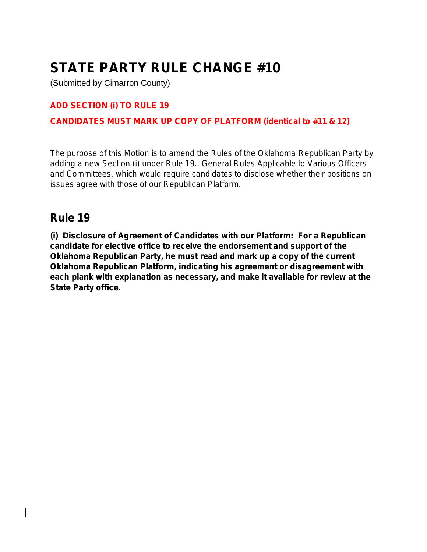(Submitted by Cimarron County)

#### **ADD SECTION (i) TO RULE 19**

#### **CANDIDATES MUST MARK UP COPY OF PLATFORM (identical to #11 & 12)**

*The purpose of this Motion is to amend the Rules of the Oklahoma Republican Party by adding a new Section (i) under Rule 19., General Rules Applicable to Various Officers and Committees, which would require candidates to disclose whether their positions on issues agree with those of our Republican Platform.*

### **Rule 19**

**(i) Disclosure of Agreement of Candidates with our Platform: For a Republican candidate for elective office to receive the endorsement and support of the Oklahoma Republican Party, he must read and mark up a copy of the current Oklahoma Republican Platform, indicating his agreement or disagreement with each plank with explanation as necessary, and make it available for review at the State Party office.**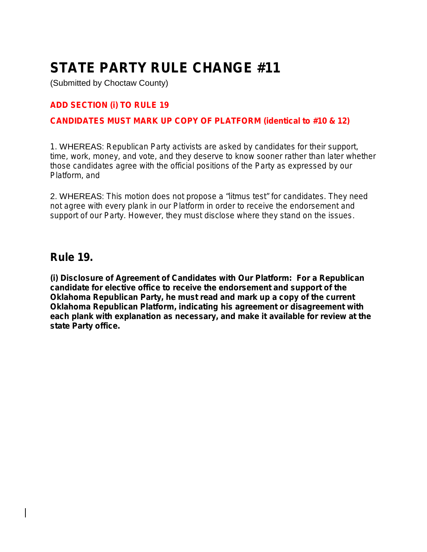(Submitted by Choctaw County)

#### **ADD SECTION (i) TO RULE 19**

#### **CANDIDATES MUST MARK UP COPY OF PLATFORM (identical to #10 & 12)**

*1.* WHEREAS: *Republican Party activists are asked by candidates for their support, time, work, money, and vote, and they deserve to know sooner rather than later whether those candidates agree with the official positions of the Party as expressed by our Platform, and*

2. WHEREAS: *This motion does not propose a "litmus test" for candidates. They need not agree with every plank in our Platform in order to receive the endorsement and support of our Party. However, they must disclose where they stand on the issues*.

### **Rule 19.**

**(i) Disclosure of Agreement of Candidates with Our Platform: For a Republican candidate for elective office to receive the endorsement and support of the Oklahoma Republican Party, he must read and mark up a copy of the current Oklahoma Republican Platform, indicating his agreement or disagreement with each plank with explanation as necessary, and make it available for review at the state Party office.**